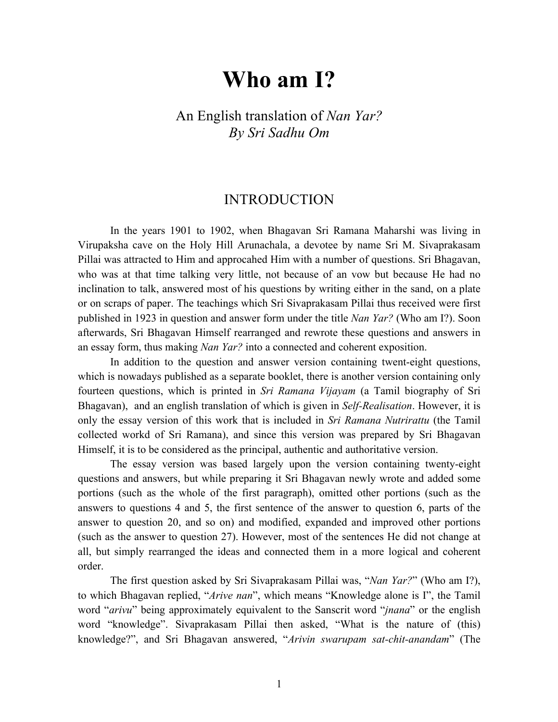## **Who am I?**

## An English translation of *Nan Yar? By Sri Sadhu Om*

## INTRODUCTION

In the years 1901 to 1902, when Bhagavan Sri Ramana Maharshi was living in Virupaksha cave on the Holy Hill Arunachala, a devotee by name Sri M. Sivaprakasam Pillai was attracted to Him and approcahed Him with a number of questions. Sri Bhagavan, who was at that time talking very little, not because of an vow but because He had no inclination to talk, answered most of his questions by writing either in the sand, on a plate or on scraps of paper. The teachings which Sri Sivaprakasam Pillai thus received were first published in 1923 in question and answer form under the title *Nan Yar?* (Who am I?). Soon afterwards, Sri Bhagavan Himself rearranged and rewrote these questions and answers in an essay form, thus making *Nan Yar?* into a connected and coherent exposition.

In addition to the question and answer version containing twent-eight questions, which is nowadays published as a separate booklet, there is another version containing only fourteen questions, which is printed in *Sri Ramana Vijayam* (a Tamil biography of Sri Bhagavan), and an english translation of which is given in *Self-Realisation*. However, it is only the essay version of this work that is included in *Sri Ramana Nutrirattu* (the Tamil collected workd of Sri Ramana), and since this version was prepared by Sri Bhagavan Himself, it is to be considered as the principal, authentic and authoritative version.

The essay version was based largely upon the version containing twenty-eight questions and answers, but while preparing it Sri Bhagavan newly wrote and added some portions (such as the whole of the first paragraph), omitted other portions (such as the answers to questions 4 and 5, the first sentence of the answer to question 6, parts of the answer to question 20, and so on) and modified, expanded and improved other portions (such as the answer to question 27). However, most of the sentences He did not change at all, but simply rearranged the ideas and connected them in a more logical and coherent order.

The first question asked by Sri Sivaprakasam Pillai was, "*Nan Yar?*" (Who am I?), to which Bhagavan replied, "*Arive nan*", which means "Knowledge alone is I", the Tamil word "*arivu*" being approximately equivalent to the Sanscrit word "*jnana*" or the english word "knowledge". Sivaprakasam Pillai then asked, "What is the nature of (this) knowledge?", and Sri Bhagavan answered, "*Arivin swarupam sat-chit-anandam*" (The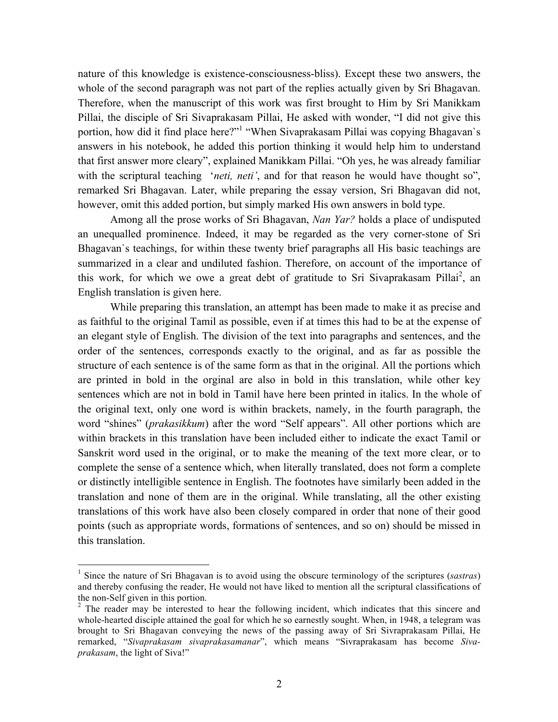nature of this knowledge is existence-consciousness-bliss). Except these two answers, the whole of the second paragraph was not part of the replies actually given by Sri Bhagavan. Therefore, when the manuscript of this work was first brought to Him by Sri Manikkam Pillai, the disciple of Sri Sivaprakasam Pillai, He asked with wonder, "I did not give this portion, how did it find place here?"<sup>1</sup> "When Sivaprakasam Pillai was copying Bhagavan`s answers in his notebook, he added this portion thinking it would help him to understand that first answer more cleary", explained Manikkam Pillai. "Oh yes, he was already familiar with the scriptural teaching *'neti, neti'*, and for that reason he would have thought so", remarked Sri Bhagavan. Later, while preparing the essay version, Sri Bhagavan did not, however, omit this added portion, but simply marked His own answers in bold type.

Among all the prose works of Sri Bhagavan, *Nan Yar?* holds a place of undisputed an unequalled prominence. Indeed, it may be regarded as the very corner-stone of Sri Bhagavan`s teachings, for within these twenty brief paragraphs all His basic teachings are summarized in a clear and undiluted fashion. Therefore, on account of the importance of this work, for which we owe a great debt of gratitude to Sri Sivaprakasam Pillai<sup>2</sup>, an English translation is given here.

While preparing this translation, an attempt has been made to make it as precise and as faithful to the original Tamil as possible, even if at times this had to be at the expense of an elegant style of English. The division of the text into paragraphs and sentences, and the order of the sentences, corresponds exactly to the original, and as far as possible the structure of each sentence is of the same form as that in the original. All the portions which are printed in bold in the orginal are also in bold in this translation, while other key sentences which are not in bold in Tamil have here been printed in italics. In the whole of the original text, only one word is within brackets, namely, in the fourth paragraph, the word "shines" (*prakasikkum*) after the word "Self appears". All other portions which are within brackets in this translation have been included either to indicate the exact Tamil or Sanskrit word used in the original, or to make the meaning of the text more clear, or to complete the sense of a sentence which, when literally translated, does not form a complete or distinctly intelligible sentence in English. The footnotes have similarly been added in the translation and none of them are in the original. While translating, all the other existing translations of this work have also been closely compared in order that none of their good points (such as appropriate words, formations of sentences, and so on) should be missed in this translation.

 <sup>1</sup> Since the nature of Sri Bhagavan is to avoid using the obscure terminology of the scriptures (*sastras*) and thereby confusing the reader, He would not have liked to mention all the scriptural classifications of the non-Self given in this portion.

 $2$  The reader may be interested to hear the following incident, which indicates that this sincere and whole-hearted disciple attained the goal for which he so earnestly sought. When, in 1948, a telegram was brought to Sri Bhagavan conveying the news of the passing away of Sri Sivraprakasam Pillai, He remarked, "*Sivaprakasam sivaprakasamanar*", which means "Sivraprakasam has become *Sivaprakasam*, the light of Siva!"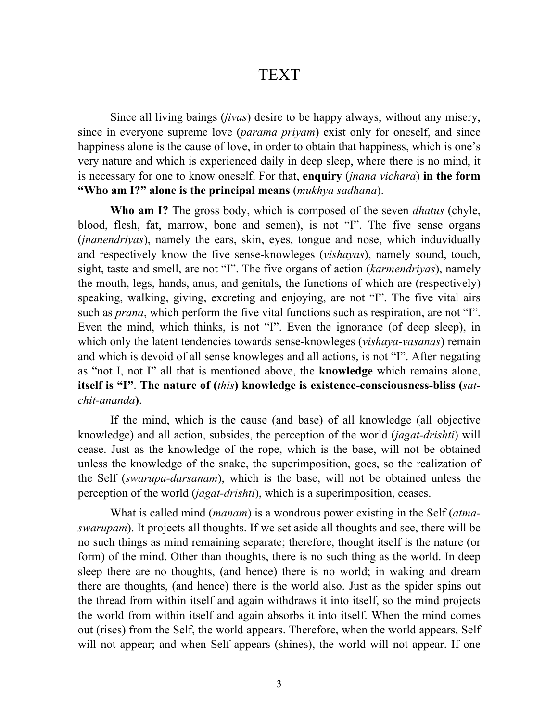## TEXT

Since all living baings (*jivas*) desire to be happy always, without any misery, since in everyone supreme love (*parama priyam*) exist only for oneself, and since happiness alone is the cause of love, in order to obtain that happiness, which is one's very nature and which is experienced daily in deep sleep, where there is no mind, it is necessary for one to know oneself. For that, **enquiry** (*jnana vichara*) **in the form "Who am I?" alone is the principal means** (*mukhya sadhana*).

**Who am I?** The gross body, which is composed of the seven *dhatus* (chyle, blood, flesh, fat, marrow, bone and semen), is not "I". The five sense organs (*jnanendriyas*), namely the ears, skin, eyes, tongue and nose, which induvidually and respectively know the five sense-knowleges (*vishayas*), namely sound, touch, sight, taste and smell, are not "I". The five organs of action (*karmendriyas*), namely the mouth, legs, hands, anus, and genitals, the functions of which are (respectively) speaking, walking, giving, excreting and enjoying, are not "I". The five vital airs such as *prana*, which perform the five vital functions such as respiration, are not "I". Even the mind, which thinks, is not "I". Even the ignorance (of deep sleep), in which only the latent tendencies towards sense-knowleges (*vishaya-vasanas*) remain and which is devoid of all sense knowleges and all actions, is not "I". After negating as "not I, not I" all that is mentioned above, the **knowledge** which remains alone, **itself is "I"**. **The nature of (***this***) knowledge is existence-consciousness-bliss (***satchit-ananda***)**.

If the mind, which is the cause (and base) of all knowledge (all objective knowledge) and all action, subsides, the perception of the world (*jagat-drishti*) will cease. Just as the knowledge of the rope, which is the base, will not be obtained unless the knowledge of the snake, the superimposition, goes, so the realization of the Self (*swarupa-darsanam*), which is the base, will not be obtained unless the perception of the world (*jagat-drishti*), which is a superimposition, ceases.

What is called mind (*manam*) is a wondrous power existing in the Self (*atmaswarupam*). It projects all thoughts. If we set aside all thoughts and see, there will be no such things as mind remaining separate; therefore, thought itself is the nature (or form) of the mind. Other than thoughts, there is no such thing as the world. In deep sleep there are no thoughts, (and hence) there is no world; in waking and dream there are thoughts, (and hence) there is the world also. Just as the spider spins out the thread from within itself and again withdraws it into itself, so the mind projects the world from within itself and again absorbs it into itself. When the mind comes out (rises) from the Self, the world appears. Therefore, when the world appears, Self will not appear; and when Self appears (shines), the world will not appear. If one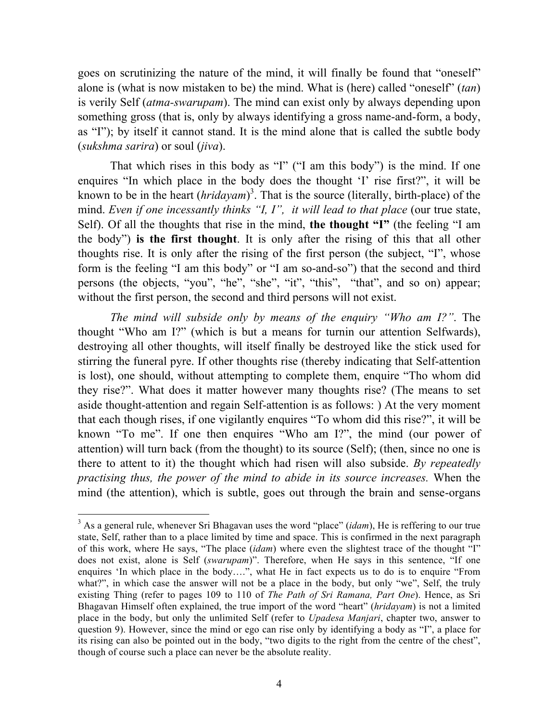goes on scrutinizing the nature of the mind, it will finally be found that "oneself" alone is (what is now mistaken to be) the mind. What is (here) called "oneself" (*tan*) is verily Self (*atma-swarupam*). The mind can exist only by always depending upon something gross (that is, only by always identifying a gross name-and-form, a body, as "I"); by itself it cannot stand. It is the mind alone that is called the subtle body (*sukshma sarira*) or soul (*jiva*).

That which rises in this body as "I" ("I am this body") is the mind. If one enquires "In which place in the body does the thought 'I' rise first?", it will be known to be in the heart (*hridayam*) 3 . That is the source (literally, birth-place) of the mind. *Even if one incessantly thinks "I, I", it will lead to that place* (our true state, Self). Of all the thoughts that rise in the mind, **the thought "I"** (the feeling "I am the body") **is the first thought**. It is only after the rising of this that all other thoughts rise. It is only after the rising of the first person (the subject, "I", whose form is the feeling "I am this body" or "I am so-and-so") that the second and third persons (the objects, "you", "he", "she", "it", "this", "that", and so on) appear; without the first person, the second and third persons will not exist.

*The mind will subside only by means of the enquiry "Who am I?"*. The thought "Who am I?" (which is but a means for turnin our attention Selfwards), destroying all other thoughts, will itself finally be destroyed like the stick used for stirring the funeral pyre. If other thoughts rise (thereby indicating that Self-attention is lost), one should, without attempting to complete them, enquire "Tho whom did they rise?". What does it matter however many thoughts rise? (The means to set aside thought-attention and regain Self-attention is as follows: ) At the very moment that each though rises, if one vigilantly enquires "To whom did this rise?", it will be known "To me". If one then enquires "Who am I?", the mind (our power of attention) will turn back (from the thought) to its source (Self); (then, since no one is there to attent to it) the thought which had risen will also subside. *By repeatedly practising thus, the power of the mind to abide in its source increases.* When the mind (the attention), which is subtle, goes out through the brain and sense-organs

<sup>&</sup>lt;sup>3</sup> As a general rule, whenever Sri Bhagavan uses the word "place" (*idam*), He is reffering to our true state, Self, rather than to a place limited by time and space. This is confirmed in the next paragraph of this work, where He says, "The place (*idam*) where even the slightest trace of the thought "I" does not exist, alone is Self (*swarupam*)". Therefore, when He says in this sentence, "If one enquires 'In which place in the body….", what He in fact expects us to do is to enquire "From what?", in which case the answer will not be a place in the body, but only "we", Self, the truly existing Thing (refer to pages 109 to 110 of *The Path of Sri Ramana, Part One*). Hence, as Sri Bhagavan Himself often explained, the true import of the word "heart" (*hridayam*) is not a limited place in the body, but only the unlimited Self (refer to *Upadesa Manjari*, chapter two, answer to question 9). However, since the mind or ego can rise only by identifying a body as "I", a place for its rising can also be pointed out in the body, "two digits to the right from the centre of the chest", though of course such a place can never be the absolute reality.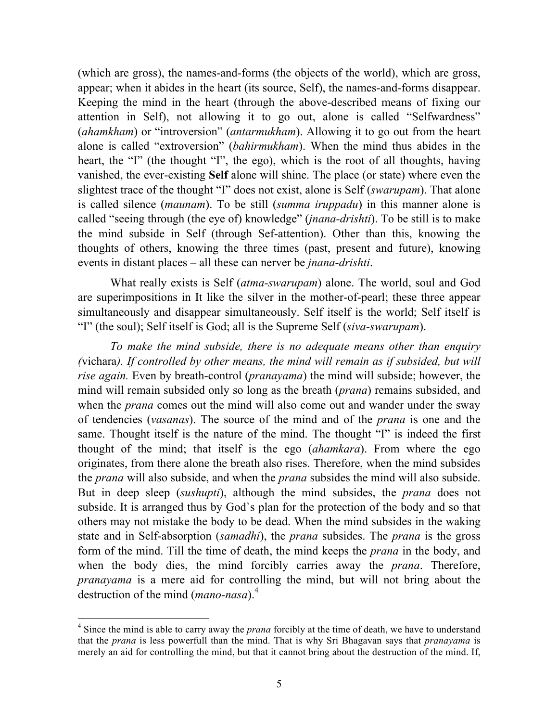(which are gross), the names-and-forms (the objects of the world), which are gross, appear; when it abides in the heart (its source, Self), the names-and-forms disappear. Keeping the mind in the heart (through the above-described means of fixing our attention in Self), not allowing it to go out, alone is called "Selfwardness" (*ahamkham*) or "introversion" (*antarmukham*). Allowing it to go out from the heart alone is called "extroversion" (*bahirmukham*). When the mind thus abides in the heart, the "I" (the thought "I", the ego), which is the root of all thoughts, having vanished, the ever-existing **Self** alone will shine. The place (or state) where even the slightest trace of the thought "I" does not exist, alone is Self (*swarupam*). That alone is called silence (*maunam*). To be still (*summa iruppadu*) in this manner alone is called "seeing through (the eye of) knowledge" (*jnana-drishti*). To be still is to make the mind subside in Self (through Sef-attention). Other than this, knowing the thoughts of others, knowing the three times (past, present and future), knowing events in distant places – all these can nerver be *jnana-drishti*.

What really exists is Self (*atma-swarupam*) alone. The world, soul and God are superimpositions in It like the silver in the mother-of-pearl; these three appear simultaneously and disappear simultaneously. Self itself is the world; Self itself is "I" (the soul); Self itself is God; all is the Supreme Self (*siva-swarupam*).

*To make the mind subside, there is no adequate means other than enquiry (*vichara*). If controlled by other means, the mind will remain as if subsided, but will rise again.* Even by breath-control (*pranayama*) the mind will subside; however, the mind will remain subsided only so long as the breath (*prana*) remains subsided, and when the *prana* comes out the mind will also come out and wander under the sway of tendencies (*vasanas*). The source of the mind and of the *prana* is one and the same. Thought itself is the nature of the mind. The thought "I" is indeed the first thought of the mind; that itself is the ego (*ahamkara*). From where the ego originates, from there alone the breath also rises. Therefore, when the mind subsides the *prana* will also subside, and when the *prana* subsides the mind will also subside. But in deep sleep (*sushupti*), although the mind subsides, the *prana* does not subside. It is arranged thus by God`s plan for the protection of the body and so that others may not mistake the body to be dead. When the mind subsides in the waking state and in Self-absorption (*samadhi*), the *prana* subsides. The *prana* is the gross form of the mind. Till the time of death, the mind keeps the *prana* in the body, and when the body dies, the mind forcibly carries away the *prana*. Therefore, *pranayama* is a mere aid for controlling the mind, but will not bring about the destruction of the mind (*mano-nasa*).<sup>4</sup>

 <sup>4</sup> Since the mind is able to carry away the *prana* forcibly at the time of death, we have to understand that the *prana* is less powerfull than the mind. That is why Sri Bhagavan says that *pranayama* is merely an aid for controlling the mind, but that it cannot bring about the destruction of the mind. If,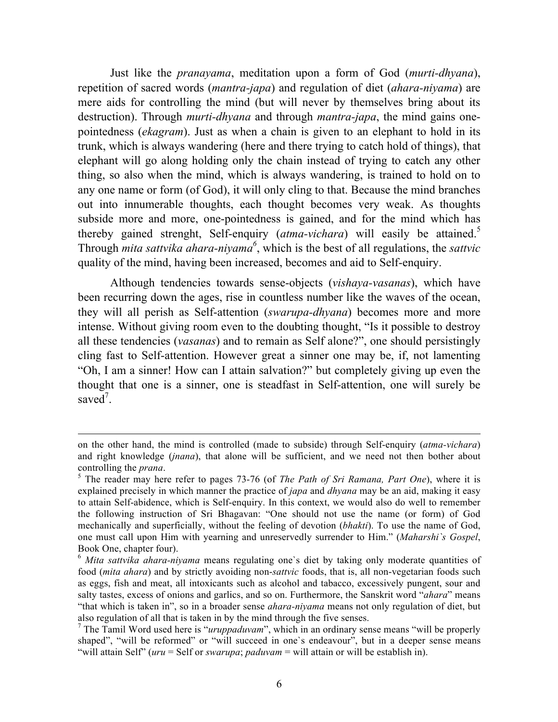Just like the *pranayama*, meditation upon a form of God (*murti-dhyana*), repetition of sacred words (*mantra-japa*) and regulation of diet (*ahara-niyama*) are mere aids for controlling the mind (but will never by themselves bring about its destruction). Through *murti-dhyana* and through *mantra-japa*, the mind gains onepointedness (*ekagram*). Just as when a chain is given to an elephant to hold in its trunk, which is always wandering (here and there trying to catch hold of things), that elephant will go along holding only the chain instead of trying to catch any other thing, so also when the mind, which is always wandering, is trained to hold on to any one name or form (of God), it will only cling to that. Because the mind branches out into innumerable thoughts, each thought becomes very weak. As thoughts subside more and more, one-pointedness is gained, and for the mind which has thereby gained strenght, Self-enquiry (*atma-vichara*) will easily be attained.<sup>5</sup> Through *mita sattvika ahara-niyama6* , which is the best of all regulations, the *sattvic* quality of the mind, having been increased, becomes and aid to Self-enquiry.

Although tendencies towards sense-objects (*vishaya-vasanas*), which have been recurring down the ages, rise in countless number like the waves of the ocean, they will all perish as Self-attention (*swarupa-dhyana*) becomes more and more intense. Without giving room even to the doubting thought, "Is it possible to destroy all these tendencies (*vasanas*) and to remain as Self alone?", one should persistingly cling fast to Self-attention. However great a sinner one may be, if, not lamenting "Oh, I am a sinner! How can I attain salvation?" but completely giving up even the thought that one is a sinner, one is steadfast in Self-attention, one will surely be saved<sup>7</sup>.

 $\overline{a}$ 

on the other hand, the mind is controlled (made to subside) through Self-enquiry (*atma-vichara*) and right knowledge (*jnana*), that alone will be sufficient, and we need not then bother about controlling the *prana*. <sup>5</sup> The reader may here refer to pages 73-76 (of *The Path of Sri Ramana, Part One*), where it is

explained precisely in which manner the practice of *japa* and *dhyana* may be an aid, making it easy to attain Self-abidence, which is Self-enquiry. In this context, we would also do well to remember the following instruction of Sri Bhagavan: "One should not use the name (or form) of God mechanically and superficially, without the feeling of devotion (*bhakti*). To use the name of God, one must call upon Him with yearning and unreservedly surrender to Him." (*Maharshi`s Gospel*, Book One, chapter four).

<sup>6</sup> *Mita sattvika ahara-niyama* means regulating one`s diet by taking only moderate quantities of food (*mita ahara*) and by strictly avoiding non-*sattvic* foods, that is, all non-vegetarian foods such as eggs, fish and meat, all intoxicants such as alcohol and tabacco, excessively pungent, sour and salty tastes, excess of onions and garlics, and so on. Furthermore, the Sanskrit word "*ahara*" means "that which is taken in", so in a broader sense *ahara-niyama* means not only regulation of diet, but also regulation of all that is taken in by the mind through the five senses.

<sup>7</sup> The Tamil Word used here is "*uruppaduvam*", which in an ordinary sense means "will be properly shaped", "will be reformed" or "will succeed in one's endeavour", but in a deeper sense means "will attain Self" (*uru* = Self or *swarupa*; *paduvam* = will attain or will be establish in).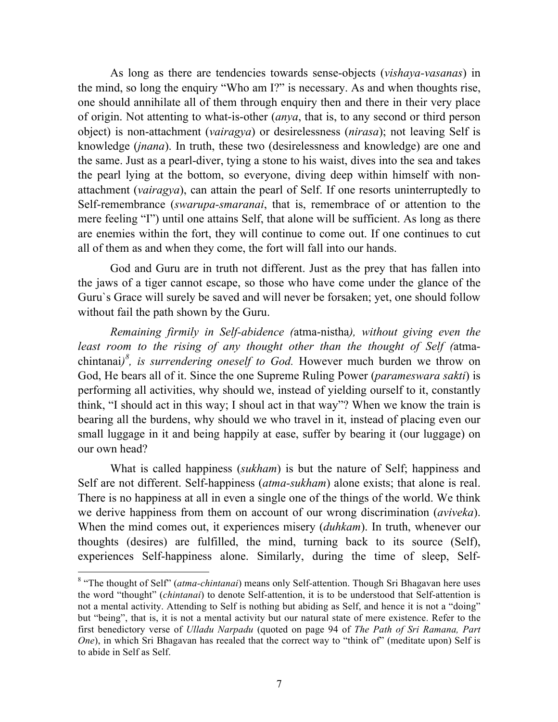As long as there are tendencies towards sense-objects (*vishaya-vasanas*) in the mind, so long the enquiry "Who am I?" is necessary. As and when thoughts rise, one should annihilate all of them through enquiry then and there in their very place of origin. Not attenting to what-is-other (*anya*, that is, to any second or third person object) is non-attachment (*vairagya*) or desirelessness (*nirasa*); not leaving Self is knowledge (*jnana*). In truth, these two (desirelessness and knowledge) are one and the same. Just as a pearl-diver, tying a stone to his waist, dives into the sea and takes the pearl lying at the bottom, so everyone, diving deep within himself with nonattachment (*vairagya*), can attain the pearl of Self. If one resorts uninterruptedly to Self-remembrance (*swarupa-smaranai*, that is, remembrace of or attention to the mere feeling "I") until one attains Self, that alone will be sufficient. As long as there are enemies within the fort, they will continue to come out. If one continues to cut all of them as and when they come, the fort will fall into our hands.

God and Guru are in truth not different. Just as the prey that has fallen into the jaws of a tiger cannot escape, so those who have come under the glance of the Guru`s Grace will surely be saved and will never be forsaken; yet, one should follow without fail the path shown by the Guru.

*Remaining firmily in Self-abidence (*atma-nistha*), without giving even the least room to the rising of any thought other than the thought of Self (*atmachintanai)<sup>8</sup>, is surrendering oneself to God. However much burden we throw on God, He bears all of it. Since the one Supreme Ruling Power (*parameswara sakti*) is performing all activities, why should we, instead of yielding ourself to it, constantly think, "I should act in this way; I shoul act in that way"? When we know the train is bearing all the burdens, why should we who travel in it, instead of placing even our small luggage in it and being happily at ease, suffer by bearing it (our luggage) on our own head?

What is called happiness (*sukham*) is but the nature of Self; happiness and Self are not different. Self-happiness (*atma-sukham*) alone exists; that alone is real. There is no happiness at all in even a single one of the things of the world. We think we derive happiness from them on account of our wrong discrimination (*aviveka*). When the mind comes out, it experiences misery (*duhkam*). In truth, whenever our thoughts (desires) are fulfilled, the mind, turning back to its source (Self), experiences Self-happiness alone. Similarly, during the time of sleep, Self-

 <sup>8</sup> "The thought of Self" (*atma-chintanai*) means only Self-attention. Though Sri Bhagavan here uses the word "thought" (*chintanai*) to denote Self-attention, it is to be understood that Self-attention is not a mental activity. Attending to Self is nothing but abiding as Self, and hence it is not a "doing" but "being", that is, it is not a mental activity but our natural state of mere existence. Refer to the first benedictory verse of *Ulladu Narpadu* (quoted on page 94 of *The Path of Sri Ramana, Part One*), in which Sri Bhagavan has reealed that the correct way to "think of" (meditate upon) Self is to abide in Self as Self.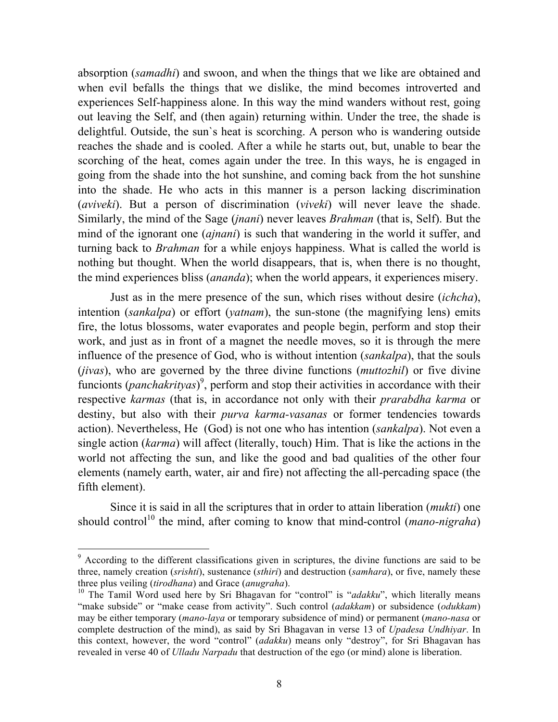absorption (*samadhi*) and swoon, and when the things that we like are obtained and when evil befalls the things that we dislike, the mind becomes introverted and experiences Self-happiness alone. In this way the mind wanders without rest, going out leaving the Self, and (then again) returning within. Under the tree, the shade is delightful. Outside, the sun`s heat is scorching. A person who is wandering outside reaches the shade and is cooled. After a while he starts out, but, unable to bear the scorching of the heat, comes again under the tree. In this ways, he is engaged in going from the shade into the hot sunshine, and coming back from the hot sunshine into the shade. He who acts in this manner is a person lacking discrimination (*aviveki*). But a person of discrimination (*viveki*) will never leave the shade. Similarly, the mind of the Sage (*jnani*) never leaves *Brahman* (that is, Self). But the mind of the ignorant one (*ajnani*) is such that wandering in the world it suffer, and turning back to *Brahman* for a while enjoys happiness. What is called the world is nothing but thought. When the world disappears, that is, when there is no thought, the mind experiences bliss (*ananda*); when the world appears, it experiences misery.

Just as in the mere presence of the sun, which rises without desire (*ichcha*), intention (*sankalpa*) or effort (*yatnam*), the sun-stone (the magnifying lens) emits fire, the lotus blossoms, water evaporates and people begin, perform and stop their work, and just as in front of a magnet the needle moves, so it is through the mere influence of the presence of God, who is without intention (*sankalpa*), that the souls (*jivas*), who are governed by the three divine functions (*muttozhil*) or five divine funcionts (*panchakrityas*)<sup>9</sup>, perform and stop their activities in accordance with their respective *karmas* (that is, in accordance not only with their *prarabdha karma* or destiny, but also with their *purva karma-vasanas* or former tendencies towards action). Nevertheless, He (God) is not one who has intention (*sankalpa*). Not even a single action (*karma*) will affect (literally, touch) Him. That is like the actions in the world not affecting the sun, and like the good and bad qualities of the other four elements (namely earth, water, air and fire) not affecting the all-percading space (the fifth element).

Since it is said in all the scriptures that in order to attain liberation (*mukti*) one should control<sup>10</sup> the mind, after coming to know that mind-control (*mano-nigraha*)

<sup>&</sup>lt;sup>9</sup> According to the different classifications given in scriptures, the divine functions are said to be three, namely creation (*srishti*), sustenance (*sthiri*) and destruction (*samhara*), or five, namely these three plus veiling (*tirodhana*) and Grace (*anugraha*).

<sup>&</sup>lt;sup>10</sup> The Tamil Word used here by Sri Bhagavan for "control" is "*adakku*", which literally means "make subside" or "make cease from activity". Such control (*adakkam*) or subsidence (*odukkam*) may be either temporary (*mano-laya* or temporary subsidence of mind) or permanent (*mano-nasa* or complete destruction of the mind), as said by Sri Bhagavan in verse 13 of *Upadesa Undhiyar*. In this context, however, the word "control" (*adakku*) means only "destroy", for Sri Bhagavan has revealed in verse 40 of *Ulladu Narpadu* that destruction of the ego (or mind) alone is liberation.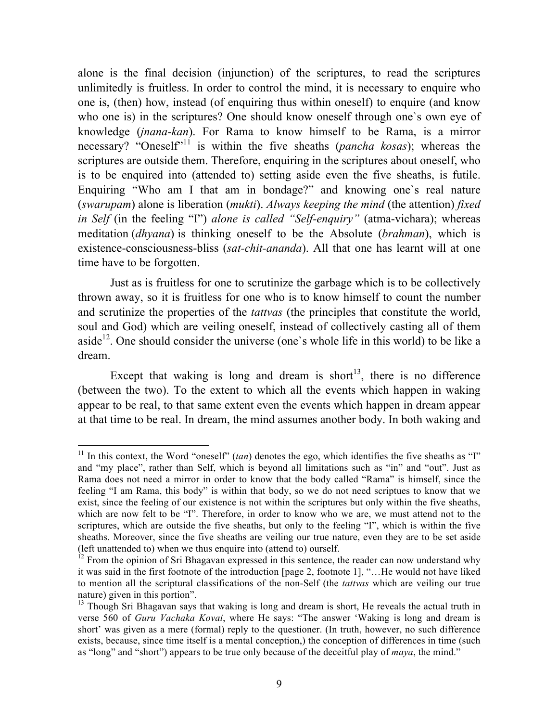alone is the final decision (injunction) of the scriptures, to read the scriptures unlimitedly is fruitless. In order to control the mind, it is necessary to enquire who one is, (then) how, instead (of enquiring thus within oneself) to enquire (and know who one is) in the scriptures? One should know oneself through one's own eye of knowledge (*jnana-kan*). For Rama to know himself to be Rama, is a mirror necessary? "Oneself<sup>"11</sup> is within the five sheaths *(pancha kosas)*; whereas the scriptures are outside them. Therefore, enquiring in the scriptures about oneself, who is to be enquired into (attended to) setting aside even the five sheaths, is futile. Enquiring "Who am I that am in bondage?" and knowing one`s real nature (*swarupam*) alone is liberation (*mukti*). *Always keeping the mind* (the attention) *fixed in Self* (in the feeling "I") *alone is called "Self-enquiry"* (atma-vichara); whereas meditation (*dhyana*) is thinking oneself to be the Absolute (*brahman*), which is existence-consciousness-bliss (*sat-chit-ananda*). All that one has learnt will at one time have to be forgotten.

Just as is fruitless for one to scrutinize the garbage which is to be collectively thrown away, so it is fruitless for one who is to know himself to count the number and scrutinize the properties of the *tattvas* (the principles that constitute the world, soul and God) which are veiling oneself, instead of collectively casting all of them aside<sup>12</sup>. One should consider the universe (one's whole life in this world) to be like a dream.

Except that waking is long and dream is short<sup>13</sup>, there is no difference (between the two). To the extent to which all the events which happen in waking appear to be real, to that same extent even the events which happen in dream appear at that time to be real. In dream, the mind assumes another body. In both waking and

<sup>&</sup>lt;sup>11</sup> In this context, the Word "oneself" ( $tan$ ) denotes the ego, which identifies the five sheaths as "I" and "my place", rather than Self, which is beyond all limitations such as "in" and "out". Just as Rama does not need a mirror in order to know that the body called "Rama" is himself, since the feeling "I am Rama, this body" is within that body, so we do not need scriptues to know that we exist, since the feeling of our existence is not within the scriptures but only within the five sheaths, which are now felt to be "I". Therefore, in order to know who we are, we must attend not to the scriptures, which are outside the five sheaths, but only to the feeling "I", which is within the five sheaths. Moreover, since the five sheaths are veiling our true nature, even they are to be set aside (left unattended to) when we thus enquire into (attend to) ourself.

 $12$  From the opinion of Sri Bhagavan expressed in this sentence, the reader can now understand why it was said in the first footnote of the introduction [page 2, footnote 1], "…He would not have liked to mention all the scriptural classifications of the non-Self (the *tattvas* which are veiling our true nature) given in this portion".

 $<sup>13</sup>$  Though Sri Bhagavan says that waking is long and dream is short. He reveals the actual truth in</sup> verse 560 of *Guru Vachaka Kovai*, where He says: "The answer 'Waking is long and dream is short' was given as a mere (formal) reply to the questioner. (In truth, however, no such difference exists, because, since time itself is a mental conception,) the conception of differences in time (such as "long" and "short") appears to be true only because of the deceitful play of *maya*, the mind."